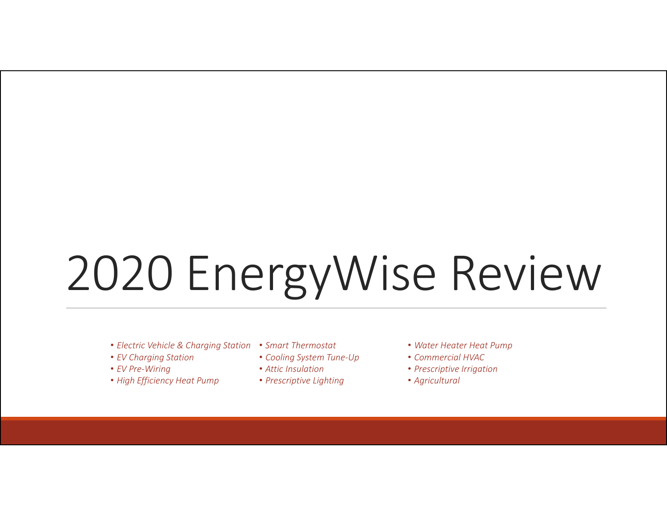# 2020 EnergyWise Review

- *Electric Vehicle & Charging Station Smart Thermostat*
- *EV Charging Station*
- *EV Pre‐Wiring*
- *High Efficiency Heat Pump*
- - *Cooling System Tune‐Up*
- *Attic Insulation*
- *Prescriptive Lighting*
- *Water Heater Heat Pump*
- *Commercial HVAC*
- *Prescriptive Irrigation*
- *Agricultural*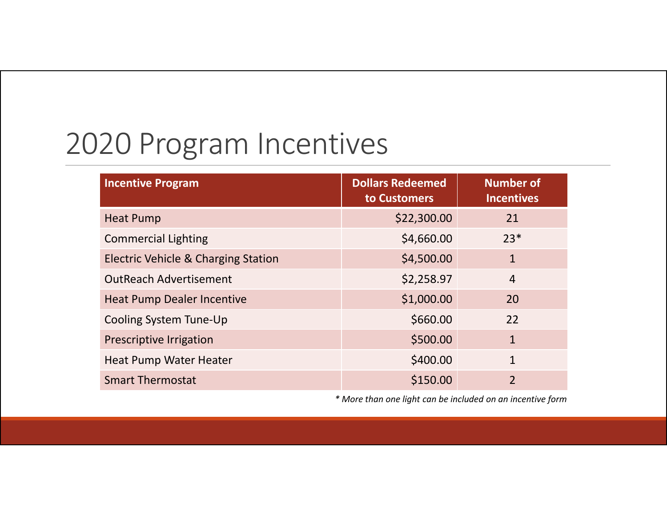### 2020 Program Incentives

| <b>Incentive Program</b>                       | <b>Dollars Redeemed</b><br>to Customers | <b>Number of</b><br><b>Incentives</b> |
|------------------------------------------------|-----------------------------------------|---------------------------------------|
| <b>Heat Pump</b>                               | \$22,300.00                             | 21                                    |
| <b>Commercial Lighting</b>                     | \$4,660.00                              | $23*$                                 |
| <b>Electric Vehicle &amp; Charging Station</b> | \$4,500.00                              | $\mathbf{1}$                          |
| <b>OutReach Advertisement</b>                  | \$2,258.97                              | $\overline{4}$                        |
| <b>Heat Pump Dealer Incentive</b>              | \$1,000.00                              | 20                                    |
| Cooling System Tune-Up                         | \$660.00                                | 22                                    |
| Prescriptive Irrigation                        | \$500.00                                | $\mathbf{1}$                          |
| Heat Pump Water Heater                         | \$400.00                                | $\mathbf{1}$                          |
| <b>Smart Thermostat</b>                        | \$150.00                                | $\overline{2}$                        |

*\* More than one light can be included on an incentive form*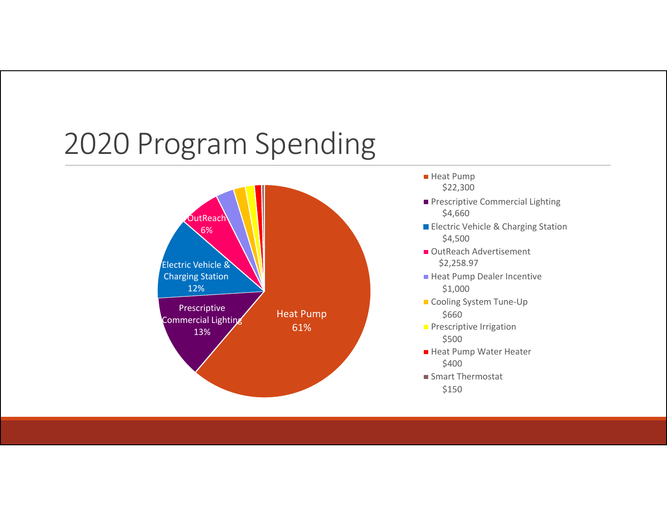### 2020 Program Spending



- Heat Pump \$22,300
- **Prescriptive Commercial Lighting** \$4,660
- Electric Vehicle & Charging Station \$4,500
- OutReach Advertisement \$2,258.97
- Heat Pump Dealer Incentive \$1,000
- Cooling System Tune-Up \$660
- **Prescriptive Irrigation** \$500
- Heat Pump Water Heater \$400
- Smart Thermostat

\$150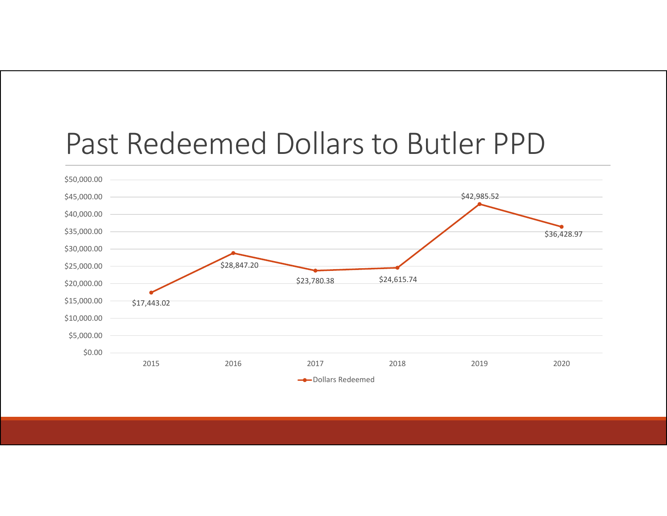#### Past Redeemed Dollars to Butler PPD

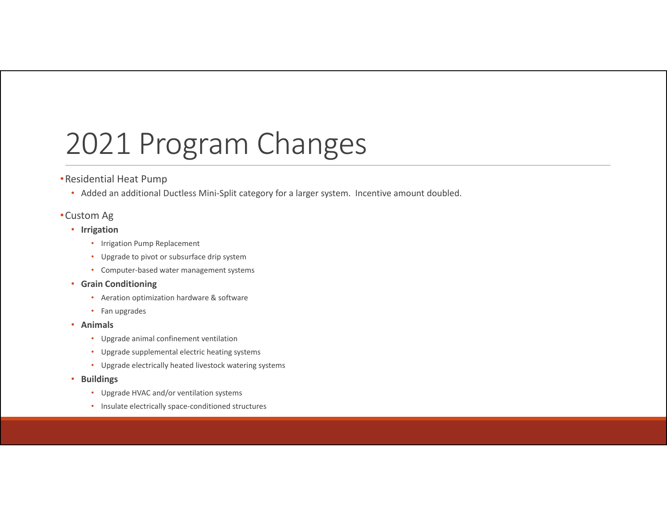### 2021 Program Changes

#### •Residential Heat Pump

• Added an additional Ductless Mini‐Split category for <sup>a</sup> larger system. Incentive amount doubled.

#### •Custom Ag

- **Irrigation**
	- Irrigation Pump Replacement
	- Upgrade to pivot or subsurface drip system
	- Computer‐based water management systems

#### • **Grain Conditioning**

- Aeration optimization hardware & software
- Fan upgrades
- **Animals**
	- Upgrade animal confinement ventilation
	- Upgrade supplemental electric heating systems
	- Upgrade electrically heated livestock watering systems
- • **Buildings**
	- Upgrade HVAC and/or ventilation systems
	- Insulate electrically space‐conditioned structures